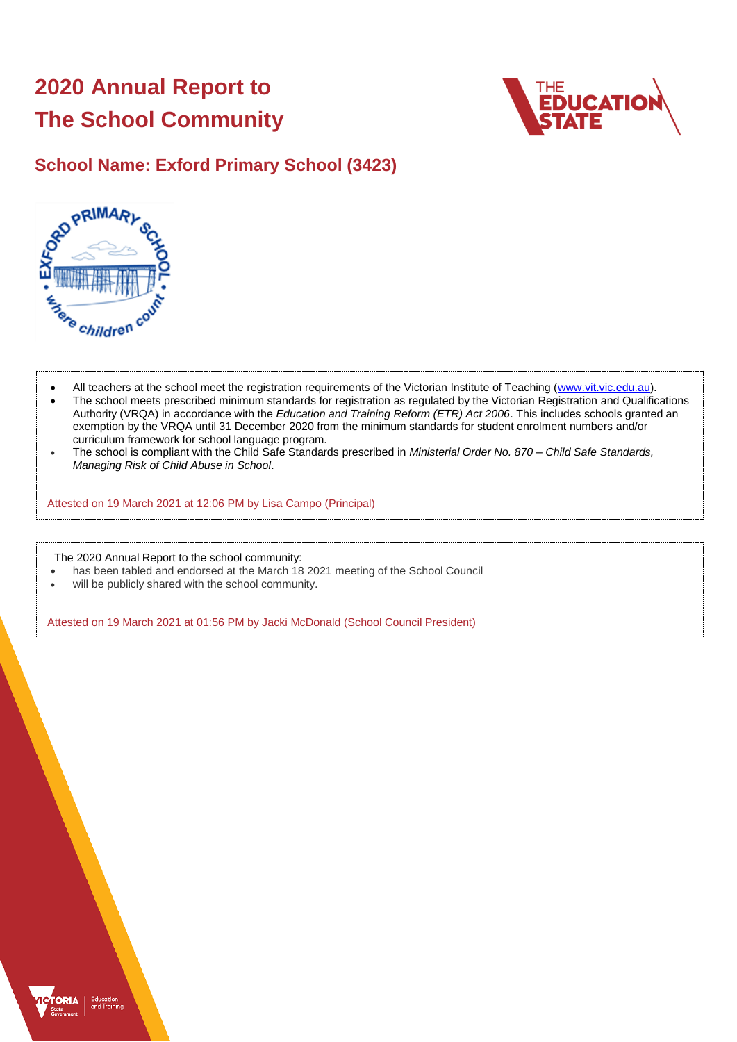# **2020 Annual Report to The School Community**



# **School Name: Exford Primary School (3423)**



- All teachers at the school meet the registration requirements of the Victorian Institute of Teaching [\(www.vit.vic.edu.au\)](https://www.vit.vic.edu.au/).
- The school meets prescribed minimum standards for registration as regulated by the Victorian Registration and Qualifications Authority (VRQA) in accordance with the *Education and Training Reform (ETR) Act 2006*. This includes schools granted an exemption by the VRQA until 31 December 2020 from the minimum standards for student enrolment numbers and/or curriculum framework for school language program.
- The school is compliant with the Child Safe Standards prescribed in *Ministerial Order No. 870 – Child Safe Standards, Managing Risk of Child Abuse in School*.

Attested on 19 March 2021 at 12:06 PM by Lisa Campo (Principal)

The 2020 Annual Report to the school community:

- has been tabled and endorsed at the March 18 2021 meeting of the School Council
- will be publicly shared with the school community.

Attested on 19 March 2021 at 01:56 PM by Jacki McDonald (School Council President)

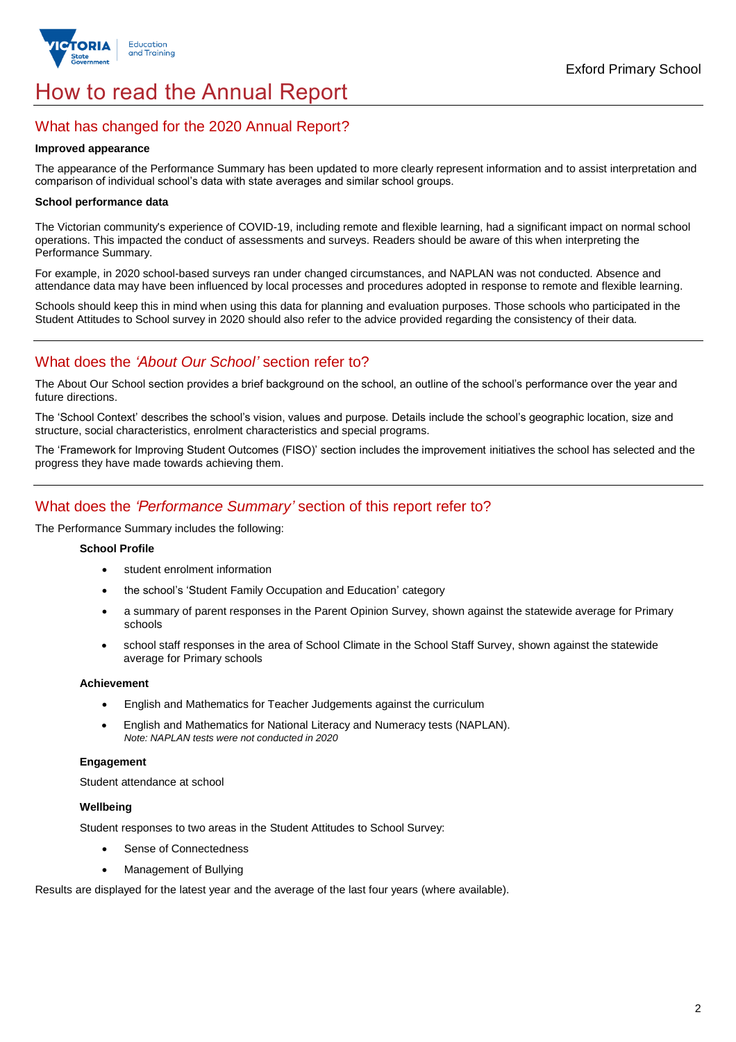

# How to read the Annual Report

## What has changed for the 2020 Annual Report?

#### **Improved appearance**

The appearance of the Performance Summary has been updated to more clearly represent information and to assist interpretation and comparison of individual school's data with state averages and similar school groups.

### **School performance data**

The Victorian community's experience of COVID-19, including remote and flexible learning, had a significant impact on normal school operations. This impacted the conduct of assessments and surveys. Readers should be aware of this when interpreting the Performance Summary.

For example, in 2020 school-based surveys ran under changed circumstances, and NAPLAN was not conducted. Absence and attendance data may have been influenced by local processes and procedures adopted in response to remote and flexible learning.

Schools should keep this in mind when using this data for planning and evaluation purposes. Those schools who participated in the Student Attitudes to School survey in 2020 should also refer to the advice provided regarding the consistency of their data.

## What does the *'About Our School'* section refer to?

The About Our School section provides a brief background on the school, an outline of the school's performance over the year and future directions.

The 'School Context' describes the school's vision, values and purpose. Details include the school's geographic location, size and structure, social characteristics, enrolment characteristics and special programs.

The 'Framework for Improving Student Outcomes (FISO)' section includes the improvement initiatives the school has selected and the progress they have made towards achieving them.

## What does the *'Performance Summary'* section of this report refer to?

The Performance Summary includes the following:

### **School Profile**

- student enrolment information
- the school's 'Student Family Occupation and Education' category
- a summary of parent responses in the Parent Opinion Survey, shown against the statewide average for Primary schools
- school staff responses in the area of School Climate in the School Staff Survey, shown against the statewide average for Primary schools

### **Achievement**

- English and Mathematics for Teacher Judgements against the curriculum
- English and Mathematics for National Literacy and Numeracy tests (NAPLAN). *Note: NAPLAN tests were not conducted in 2020*

### **Engagement**

Student attendance at school

### **Wellbeing**

Student responses to two areas in the Student Attitudes to School Survey:

- Sense of Connectedness
- Management of Bullying

Results are displayed for the latest year and the average of the last four years (where available).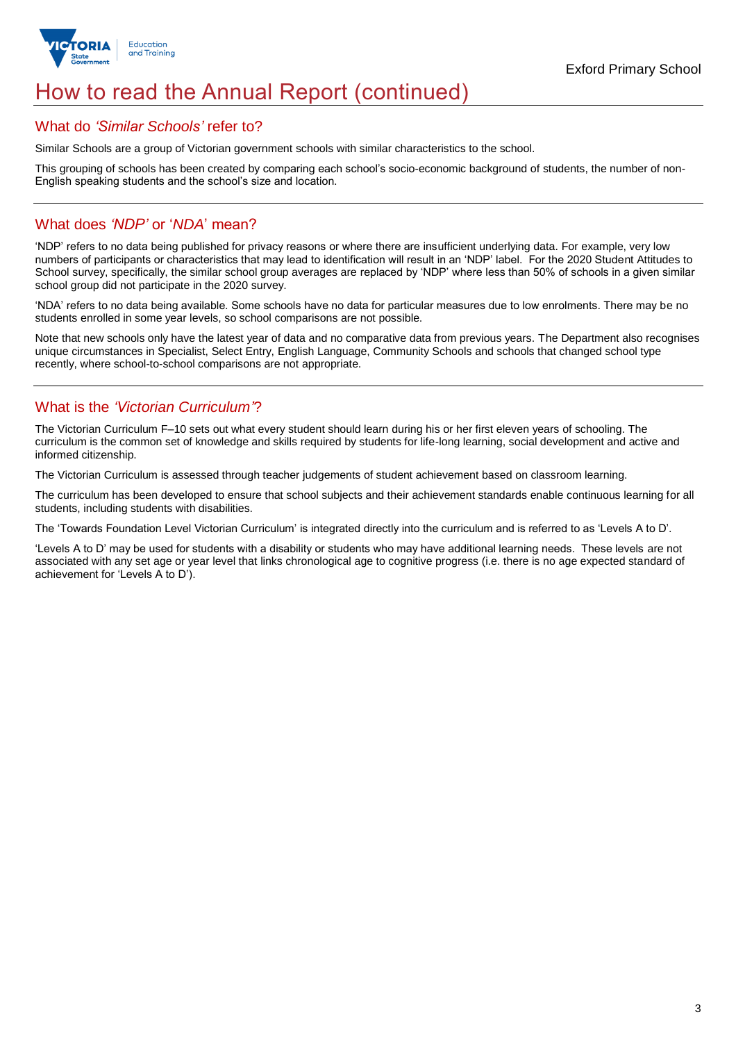

# How to read the Annual Report (continued)

## What do *'Similar Schools'* refer to?

Similar Schools are a group of Victorian government schools with similar characteristics to the school.

This grouping of schools has been created by comparing each school's socio-economic background of students, the number of non-English speaking students and the school's size and location.

## What does *'NDP'* or '*NDA*' mean?

'NDP' refers to no data being published for privacy reasons or where there are insufficient underlying data. For example, very low numbers of participants or characteristics that may lead to identification will result in an 'NDP' label. For the 2020 Student Attitudes to School survey, specifically, the similar school group averages are replaced by 'NDP' where less than 50% of schools in a given similar school group did not participate in the 2020 survey.

'NDA' refers to no data being available. Some schools have no data for particular measures due to low enrolments. There may be no students enrolled in some year levels, so school comparisons are not possible.

Note that new schools only have the latest year of data and no comparative data from previous years. The Department also recognises unique circumstances in Specialist, Select Entry, English Language, Community Schools and schools that changed school type recently, where school-to-school comparisons are not appropriate.

## What is the *'Victorian Curriculum'*?

The Victorian Curriculum F–10 sets out what every student should learn during his or her first eleven years of schooling. The curriculum is the common set of knowledge and skills required by students for life-long learning, social development and active and informed citizenship.

The Victorian Curriculum is assessed through teacher judgements of student achievement based on classroom learning.

The curriculum has been developed to ensure that school subjects and their achievement standards enable continuous learning for all students, including students with disabilities.

The 'Towards Foundation Level Victorian Curriculum' is integrated directly into the curriculum and is referred to as 'Levels A to D'.

'Levels A to D' may be used for students with a disability or students who may have additional learning needs. These levels are not associated with any set age or year level that links chronological age to cognitive progress (i.e. there is no age expected standard of achievement for 'Levels A to D').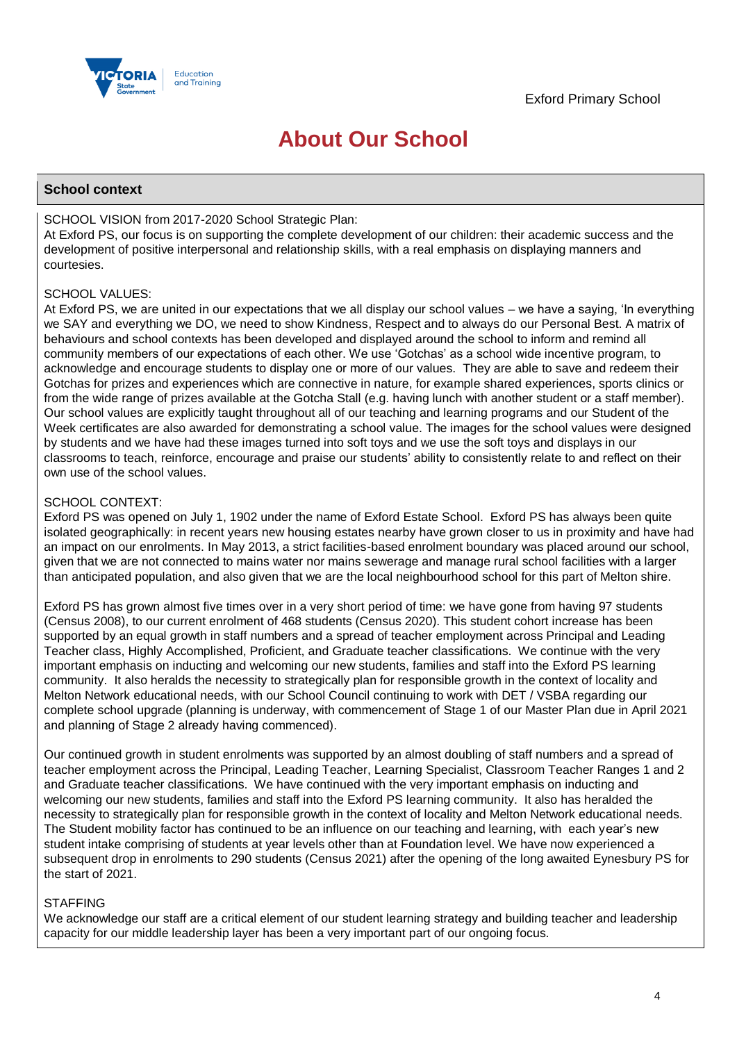

# **About Our School**

## **School context**

## SCHOOL VISION from 2017-2020 School Strategic Plan:

At Exford PS, our focus is on supporting the complete development of our children: their academic success and the development of positive interpersonal and relationship skills, with a real emphasis on displaying manners and courtesies.

## SCHOOL VALUES:

At Exford PS, we are united in our expectations that we all display our school values – we have a saying, 'In everything we SAY and everything we DO, we need to show Kindness, Respect and to always do our Personal Best. A matrix of behaviours and school contexts has been developed and displayed around the school to inform and remind all community members of our expectations of each other. We use 'Gotchas' as a school wide incentive program, to acknowledge and encourage students to display one or more of our values. They are able to save and redeem their Gotchas for prizes and experiences which are connective in nature, for example shared experiences, sports clinics or from the wide range of prizes available at the Gotcha Stall (e.g. having lunch with another student or a staff member). Our school values are explicitly taught throughout all of our teaching and learning programs and our Student of the Week certificates are also awarded for demonstrating a school value. The images for the school values were designed by students and we have had these images turned into soft toys and we use the soft toys and displays in our classrooms to teach, reinforce, encourage and praise our students' ability to consistently relate to and reflect on their own use of the school values.

## SCHOOL CONTEXT:

Exford PS was opened on July 1, 1902 under the name of Exford Estate School. Exford PS has always been quite isolated geographically: in recent years new housing estates nearby have grown closer to us in proximity and have had an impact on our enrolments. In May 2013, a strict facilities-based enrolment boundary was placed around our school, given that we are not connected to mains water nor mains sewerage and manage rural school facilities with a larger than anticipated population, and also given that we are the local neighbourhood school for this part of Melton shire.

Exford PS has grown almost five times over in a very short period of time: we have gone from having 97 students (Census 2008), to our current enrolment of 468 students (Census 2020). This student cohort increase has been supported by an equal growth in staff numbers and a spread of teacher employment across Principal and Leading Teacher class, Highly Accomplished, Proficient, and Graduate teacher classifications. We continue with the very important emphasis on inducting and welcoming our new students, families and staff into the Exford PS learning community. It also heralds the necessity to strategically plan for responsible growth in the context of locality and Melton Network educational needs, with our School Council continuing to work with DET / VSBA regarding our complete school upgrade (planning is underway, with commencement of Stage 1 of our Master Plan due in April 2021 and planning of Stage 2 already having commenced).

Our continued growth in student enrolments was supported by an almost doubling of staff numbers and a spread of teacher employment across the Principal, Leading Teacher, Learning Specialist, Classroom Teacher Ranges 1 and 2 and Graduate teacher classifications. We have continued with the very important emphasis on inducting and welcoming our new students, families and staff into the Exford PS learning community. It also has heralded the necessity to strategically plan for responsible growth in the context of locality and Melton Network educational needs. The Student mobility factor has continued to be an influence on our teaching and learning, with each year's new student intake comprising of students at year levels other than at Foundation level. We have now experienced a subsequent drop in enrolments to 290 students (Census 2021) after the opening of the long awaited Eynesbury PS for the start of 2021.

## **STAFFING**

We acknowledge our staff are a critical element of our student learning strategy and building teacher and leadership capacity for our middle leadership layer has been a very important part of our ongoing focus.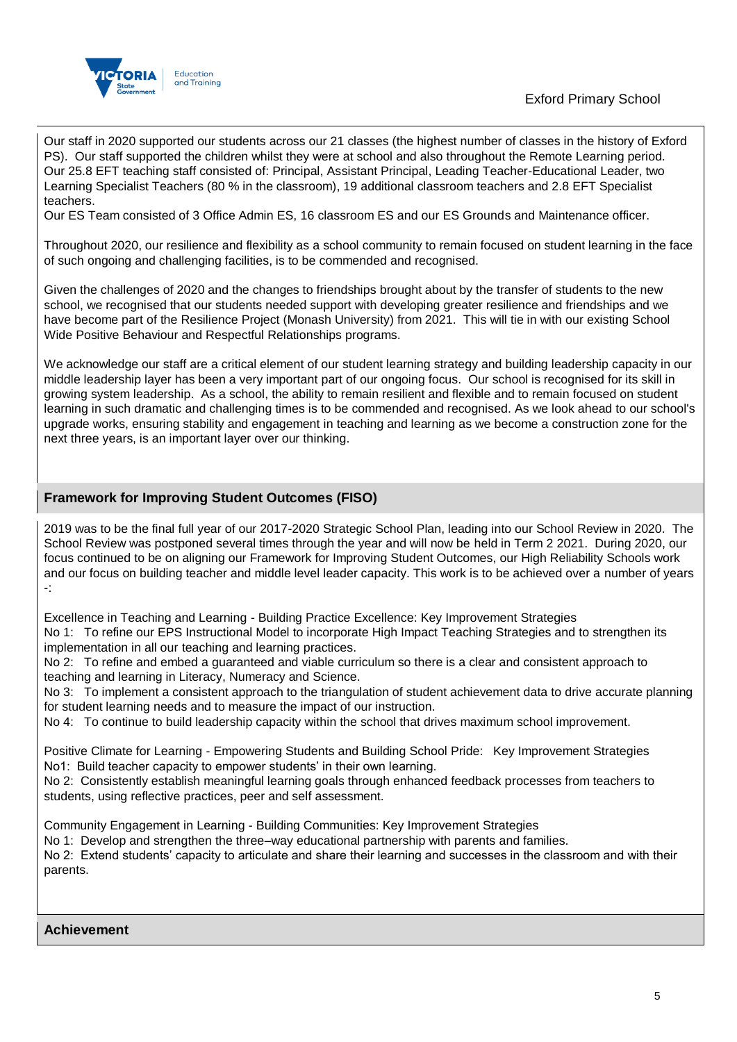

Our staff in 2020 supported our students across our 21 classes (the highest number of classes in the history of Exford PS). Our staff supported the children whilst they were at school and also throughout the Remote Learning period. Our 25.8 EFT teaching staff consisted of: Principal, Assistant Principal, Leading Teacher-Educational Leader, two Learning Specialist Teachers (80 % in the classroom), 19 additional classroom teachers and 2.8 EFT Specialist teachers.

Our ES Team consisted of 3 Office Admin ES, 16 classroom ES and our ES Grounds and Maintenance officer.

Throughout 2020, our resilience and flexibility as a school community to remain focused on student learning in the face of such ongoing and challenging facilities, is to be commended and recognised.

Given the challenges of 2020 and the changes to friendships brought about by the transfer of students to the new school, we recognised that our students needed support with developing greater resilience and friendships and we have become part of the Resilience Project (Monash University) from 2021. This will tie in with our existing School Wide Positive Behaviour and Respectful Relationships programs.

We acknowledge our staff are a critical element of our student learning strategy and building leadership capacity in our middle leadership layer has been a very important part of our ongoing focus. Our school is recognised for its skill in growing system leadership. As a school, the ability to remain resilient and flexible and to remain focused on student learning in such dramatic and challenging times is to be commended and recognised. As we look ahead to our school's upgrade works, ensuring stability and engagement in teaching and learning as we become a construction zone for the next three years, is an important layer over our thinking.

## **Framework for Improving Student Outcomes (FISO)**

2019 was to be the final full year of our 2017-2020 Strategic School Plan, leading into our School Review in 2020. The School Review was postponed several times through the year and will now be held in Term 2 2021. During 2020, our focus continued to be on aligning our Framework for Improving Student Outcomes, our High Reliability Schools work and our focus on building teacher and middle level leader capacity. This work is to be achieved over a number of years -:

Excellence in Teaching and Learning - Building Practice Excellence: Key Improvement Strategies No 1: To refine our EPS Instructional Model to incorporate High Impact Teaching Strategies and to strengthen its implementation in all our teaching and learning practices.

No 2: To refine and embed a guaranteed and viable curriculum so there is a clear and consistent approach to teaching and learning in Literacy, Numeracy and Science.

No 3: To implement a consistent approach to the triangulation of student achievement data to drive accurate planning for student learning needs and to measure the impact of our instruction.

No 4: To continue to build leadership capacity within the school that drives maximum school improvement.

Positive Climate for Learning - Empowering Students and Building School Pride: Key Improvement Strategies No1: Build teacher capacity to empower students' in their own learning.

No 2: Consistently establish meaningful learning goals through enhanced feedback processes from teachers to students, using reflective practices, peer and self assessment.

Community Engagement in Learning - Building Communities: Key Improvement Strategies

No 1: Develop and strengthen the three–way educational partnership with parents and families.

No 2: Extend students' capacity to articulate and share their learning and successes in the classroom and with their parents.

**Achievement**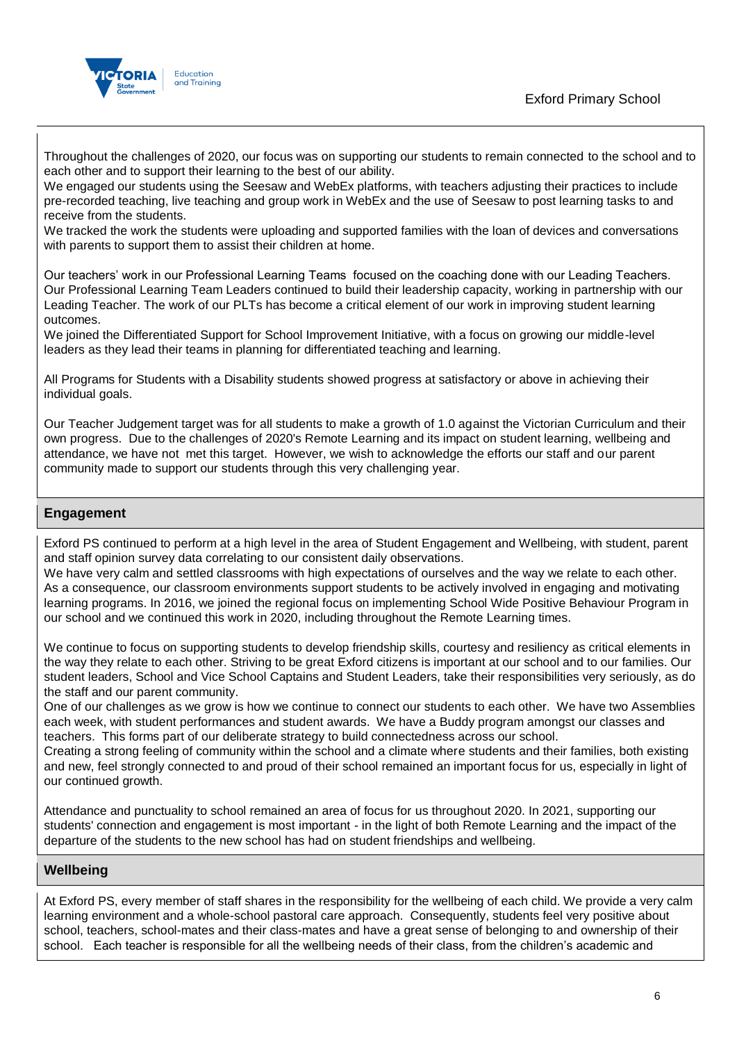



Throughout the challenges of 2020, our focus was on supporting our students to remain connected to the school and to each other and to support their learning to the best of our ability.

We engaged our students using the Seesaw and WebEx platforms, with teachers adjusting their practices to include pre-recorded teaching, live teaching and group work in WebEx and the use of Seesaw to post learning tasks to and receive from the students.

We tracked the work the students were uploading and supported families with the loan of devices and conversations with parents to support them to assist their children at home.

Our teachers' work in our Professional Learning Teams focused on the coaching done with our Leading Teachers. Our Professional Learning Team Leaders continued to build their leadership capacity, working in partnership with our Leading Teacher. The work of our PLTs has become a critical element of our work in improving student learning outcomes.

We joined the Differentiated Support for School Improvement Initiative, with a focus on growing our middle-level leaders as they lead their teams in planning for differentiated teaching and learning.

All Programs for Students with a Disability students showed progress at satisfactory or above in achieving their individual goals.

Our Teacher Judgement target was for all students to make a growth of 1.0 against the Victorian Curriculum and their own progress. Due to the challenges of 2020's Remote Learning and its impact on student learning, wellbeing and attendance, we have not met this target. However, we wish to acknowledge the efforts our staff and our parent community made to support our students through this very challenging year.

## **Engagement**

Exford PS continued to perform at a high level in the area of Student Engagement and Wellbeing, with student, parent and staff opinion survey data correlating to our consistent daily observations.

We have very calm and settled classrooms with high expectations of ourselves and the way we relate to each other. As a consequence, our classroom environments support students to be actively involved in engaging and motivating learning programs. In 2016, we joined the regional focus on implementing School Wide Positive Behaviour Program in our school and we continued this work in 2020, including throughout the Remote Learning times.

We continue to focus on supporting students to develop friendship skills, courtesy and resiliency as critical elements in the way they relate to each other. Striving to be great Exford citizens is important at our school and to our families. Our student leaders, School and Vice School Captains and Student Leaders, take their responsibilities very seriously, as do the staff and our parent community.

One of our challenges as we grow is how we continue to connect our students to each other. We have two Assemblies each week, with student performances and student awards. We have a Buddy program amongst our classes and teachers. This forms part of our deliberate strategy to build connectedness across our school.

Creating a strong feeling of community within the school and a climate where students and their families, both existing and new, feel strongly connected to and proud of their school remained an important focus for us, especially in light of our continued growth.

Attendance and punctuality to school remained an area of focus for us throughout 2020. In 2021, supporting our students' connection and engagement is most important - in the light of both Remote Learning and the impact of the departure of the students to the new school has had on student friendships and wellbeing.

## **Wellbeing**

At Exford PS, every member of staff shares in the responsibility for the wellbeing of each child. We provide a very calm learning environment and a whole-school pastoral care approach. Consequently, students feel very positive about school, teachers, school-mates and their class-mates and have a great sense of belonging to and ownership of their school. Each teacher is responsible for all the wellbeing needs of their class, from the children's academic and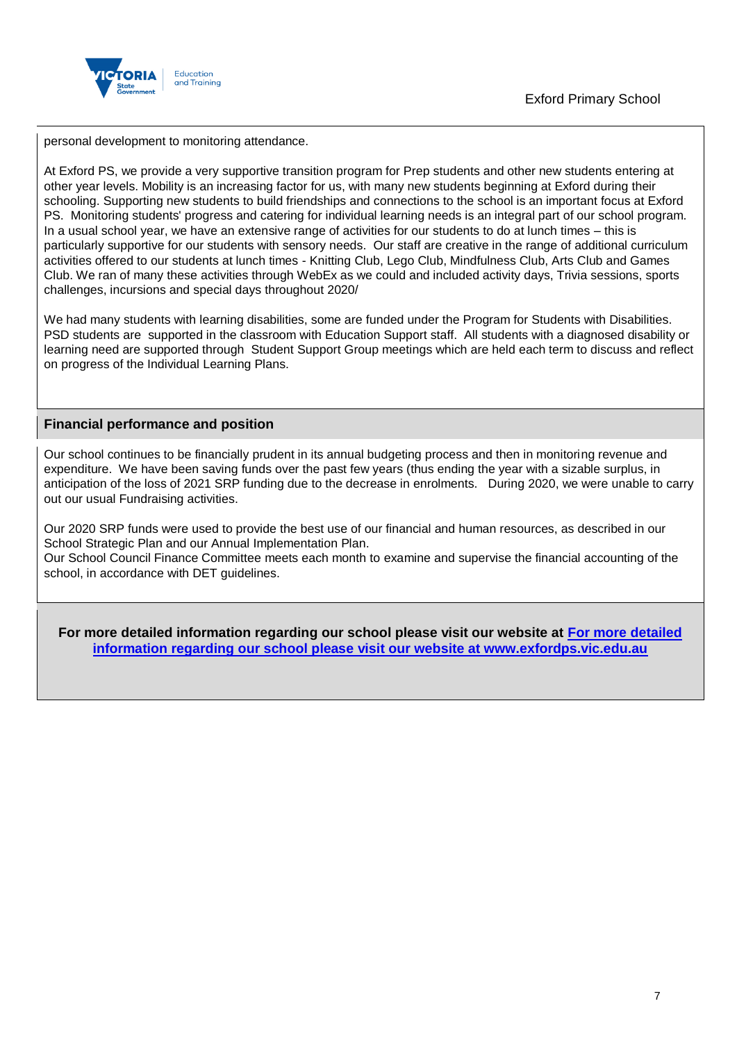

Exford Primary School

personal development to monitoring attendance.

At Exford PS, we provide a very supportive transition program for Prep students and other new students entering at other year levels. Mobility is an increasing factor for us, with many new students beginning at Exford during their schooling. Supporting new students to build friendships and connections to the school is an important focus at Exford PS. Monitoring students' progress and catering for individual learning needs is an integral part of our school program. In a usual school year, we have an extensive range of activities for our students to do at lunch times – this is particularly supportive for our students with sensory needs. Our staff are creative in the range of additional curriculum activities offered to our students at lunch times - Knitting Club, Lego Club, Mindfulness Club, Arts Club and Games Club. We ran of many these activities through WebEx as we could and included activity days, Trivia sessions, sports challenges, incursions and special days throughout 2020/

We had many students with learning disabilities, some are funded under the Program for Students with Disabilities. PSD students are supported in the classroom with Education Support staff. All students with a diagnosed disability or learning need are supported through Student Support Group meetings which are held each term to discuss and reflect on progress of the Individual Learning Plans.

## **Financial performance and position**

Our school continues to be financially prudent in its annual budgeting process and then in monitoring revenue and expenditure. We have been saving funds over the past few years (thus ending the year with a sizable surplus, in anticipation of the loss of 2021 SRP funding due to the decrease in enrolments. During 2020, we were unable to carry out our usual Fundraising activities.

Our 2020 SRP funds were used to provide the best use of our financial and human resources, as described in our School Strategic Plan and our Annual Implementation Plan.

Our School Council Finance Committee meets each month to examine and supervise the financial accounting of the school, in accordance with DET guidelines.

**For more detailed information regarding our school please visit our website at [For more detailed](file:///C:/Users/02100768.EPS/Downloads/For)  [information regarding our school please visit our website at www.exfordps.vic.edu.au](file:///C:/Users/02100768.EPS/Downloads/For)**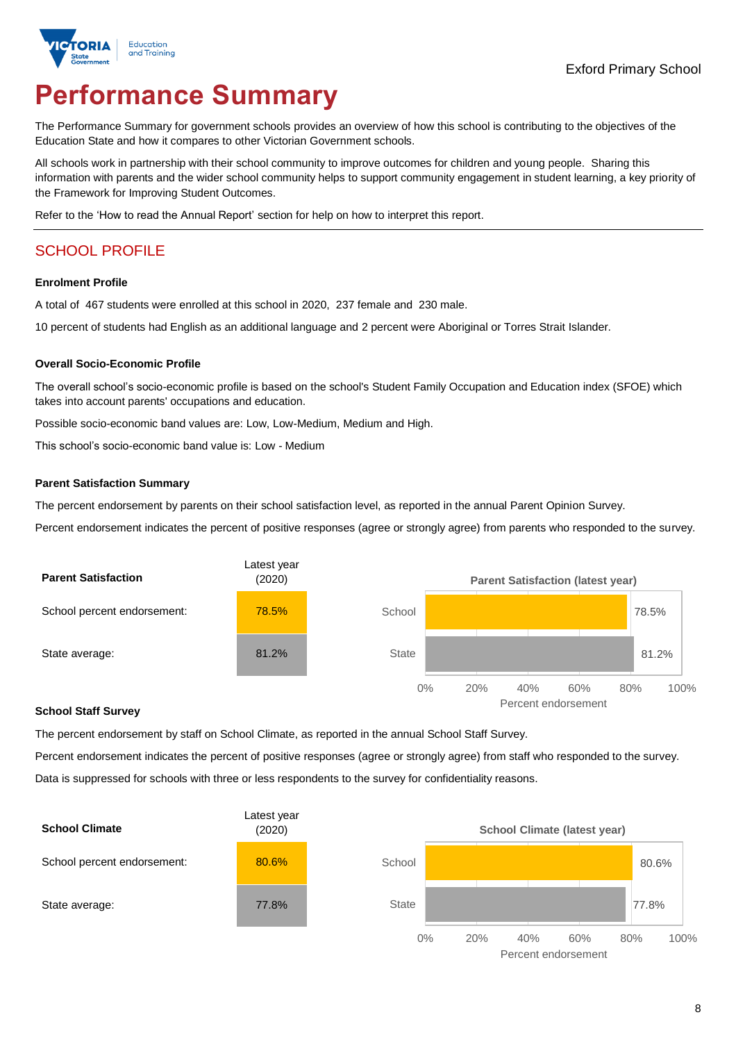

# **Performance Summary**

The Performance Summary for government schools provides an overview of how this school is contributing to the objectives of the Education State and how it compares to other Victorian Government schools.

All schools work in partnership with their school community to improve outcomes for children and young people. Sharing this information with parents and the wider school community helps to support community engagement in student learning, a key priority of the Framework for Improving Student Outcomes.

Refer to the 'How to read the Annual Report' section for help on how to interpret this report.

# SCHOOL PROFILE

#### **Enrolment Profile**

A total of 467 students were enrolled at this school in 2020, 237 female and 230 male.

10 percent of students had English as an additional language and 2 percent were Aboriginal or Torres Strait Islander.

### **Overall Socio-Economic Profile**

The overall school's socio-economic profile is based on the school's Student Family Occupation and Education index (SFOE) which takes into account parents' occupations and education.

Possible socio-economic band values are: Low, Low-Medium, Medium and High.

This school's socio-economic band value is: Low - Medium

#### **Parent Satisfaction Summary**

The percent endorsement by parents on their school satisfaction level, as reported in the annual Parent Opinion Survey.

Percent endorsement indicates the percent of positive responses (agree or strongly agree) from parents who responded to the survey.



#### **School Staff Survey**

The percent endorsement by staff on School Climate, as reported in the annual School Staff Survey.

Percent endorsement indicates the percent of positive responses (agree or strongly agree) from staff who responded to the survey. Data is suppressed for schools with three or less respondents to the survey for confidentiality reasons.



Percent endorsement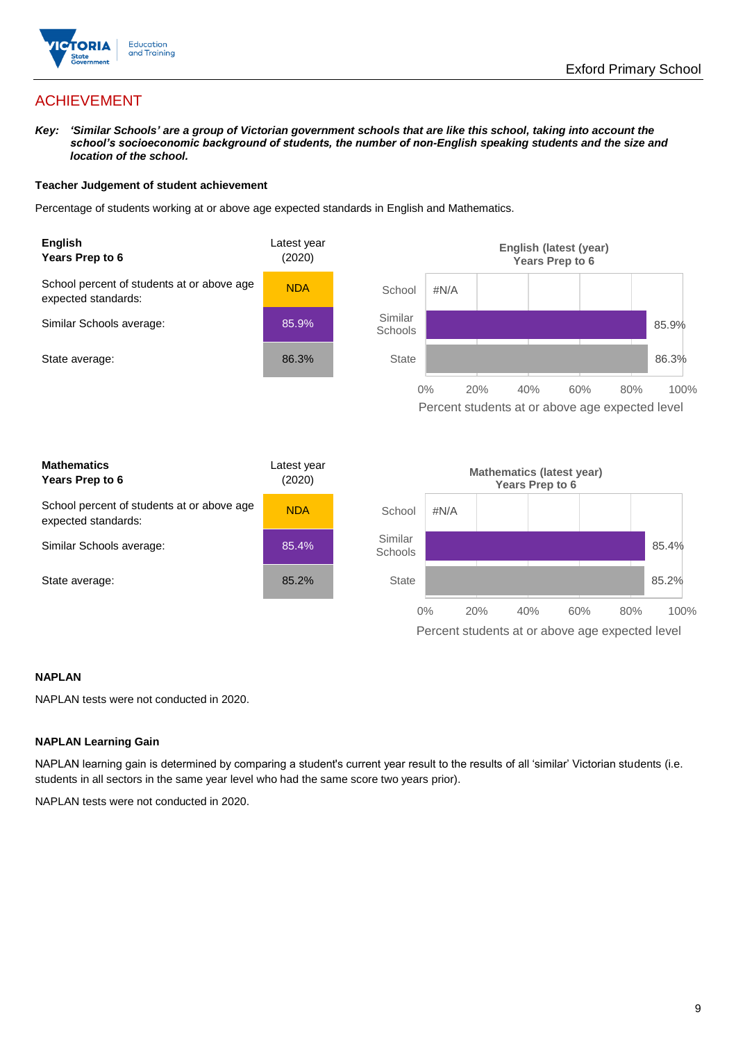

## ACHIEVEMENT

*Key: 'Similar Schools' are a group of Victorian government schools that are like this school, taking into account the*  school's socioeconomic background of students, the number of non-English speaking students and the size and *location of the school.*

#### **Teacher Judgement of student achievement**

Percentage of students working at or above age expected standards in English and Mathematics.



### **NAPLAN**

NAPLAN tests were not conducted in 2020.

### **NAPLAN Learning Gain**

NAPLAN learning gain is determined by comparing a student's current year result to the results of all 'similar' Victorian students (i.e. students in all sectors in the same year level who had the same score two years prior).

NAPLAN tests were not conducted in 2020.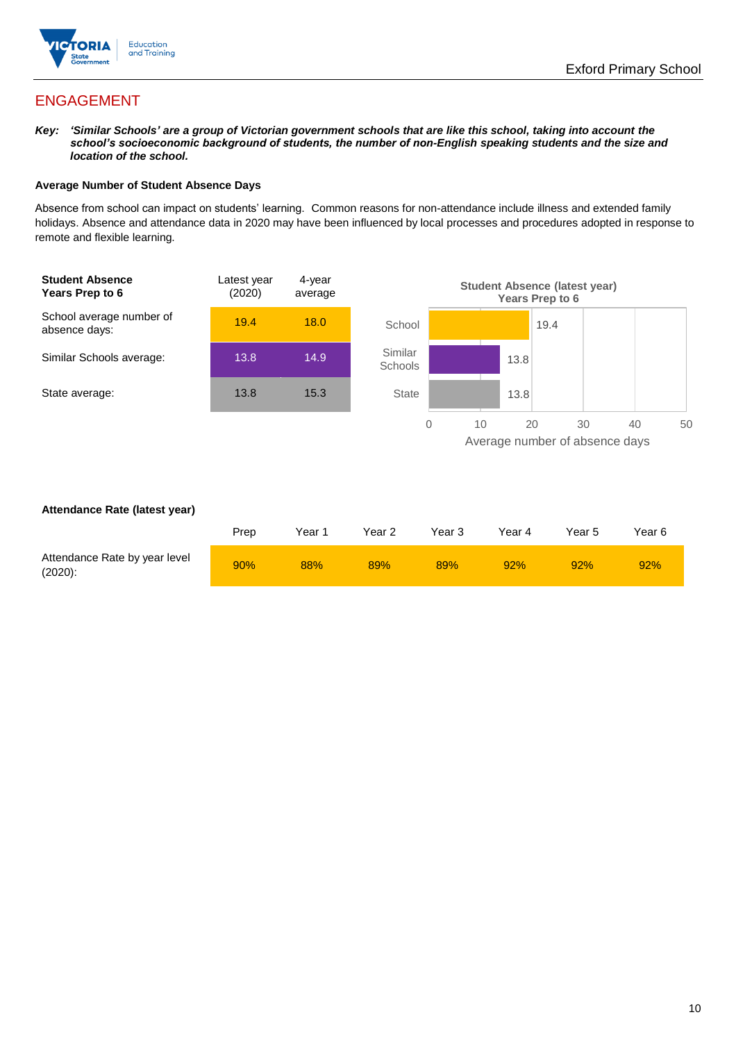

## ENGAGEMENT

*Key: 'Similar Schools' are a group of Victorian government schools that are like this school, taking into account the*  school's socioeconomic background of students, the number of non-English speaking students and the size and *location of the school.*

### **Average Number of Student Absence Days**

Absence from school can impact on students' learning. Common reasons for non-attendance include illness and extended family holidays. Absence and attendance data in 2020 may have been influenced by local processes and procedures adopted in response to remote and flexible learning.



#### **Attendance Rate (latest year)**

|                                             | Prep | Year 1 | Year 2 | Year 3 | Year 4 | Year 5 | Year 6 |
|---------------------------------------------|------|--------|--------|--------|--------|--------|--------|
| Attendance Rate by year level<br>$(2020)$ : | 90%  | 88%    | 89%    | 89%    | 92%    | 92%    | 92%    |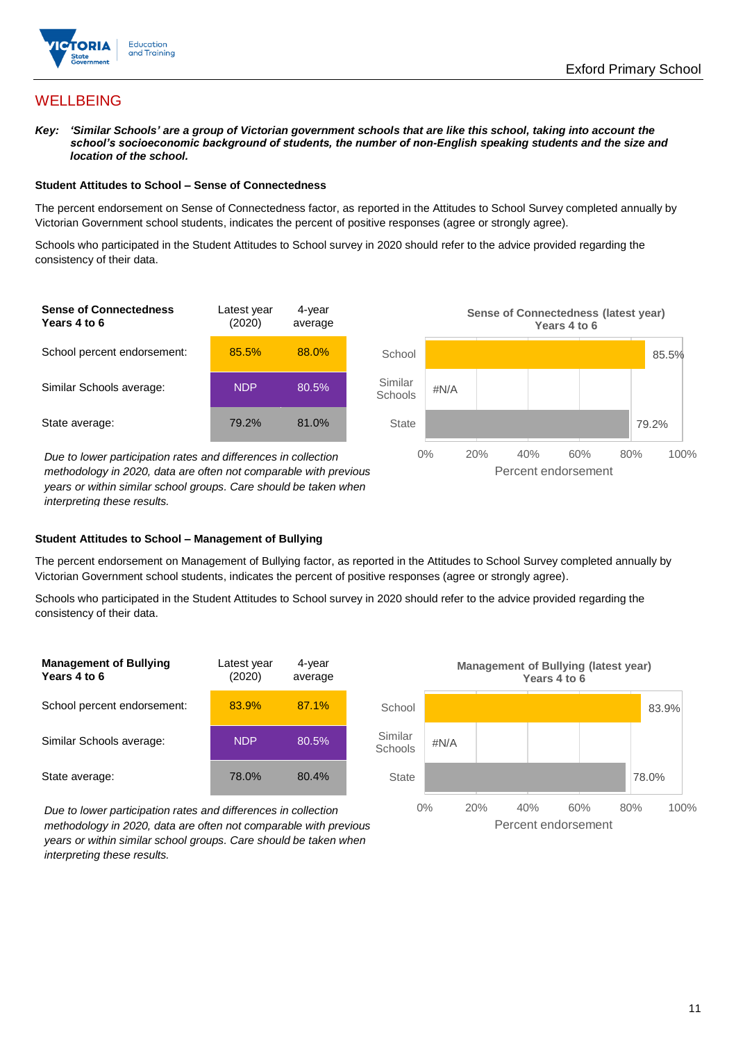

## **WELLBEING**

*Key: 'Similar Schools' are a group of Victorian government schools that are like this school, taking into account the*  school's socioeconomic background of students, the number of non-English speaking students and the size and *location of the school.*

#### **Student Attitudes to School – Sense of Connectedness**

The percent endorsement on Sense of Connectedness factor, as reported in the Attitudes to School Survey completed annually by Victorian Government school students, indicates the percent of positive responses (agree or strongly agree).

Schools who participated in the Student Attitudes to School survey in 2020 should refer to the advice provided regarding the consistency of their data.



*methodology in 2020, data are often not comparable with previous years or within similar school groups. Care should be taken when interpreting these results.*

#### **Student Attitudes to School – Management of Bullying**

The percent endorsement on Management of Bullying factor, as reported in the Attitudes to School Survey completed annually by Victorian Government school students, indicates the percent of positive responses (agree or strongly agree).

Schools who participated in the Student Attitudes to School survey in 2020 should refer to the advice provided regarding the consistency of their data.



*Due to lower participation rates and differences in collection methodology in 2020, data are often not comparable with previous years or within similar school groups. Care should be taken when interpreting these results.*

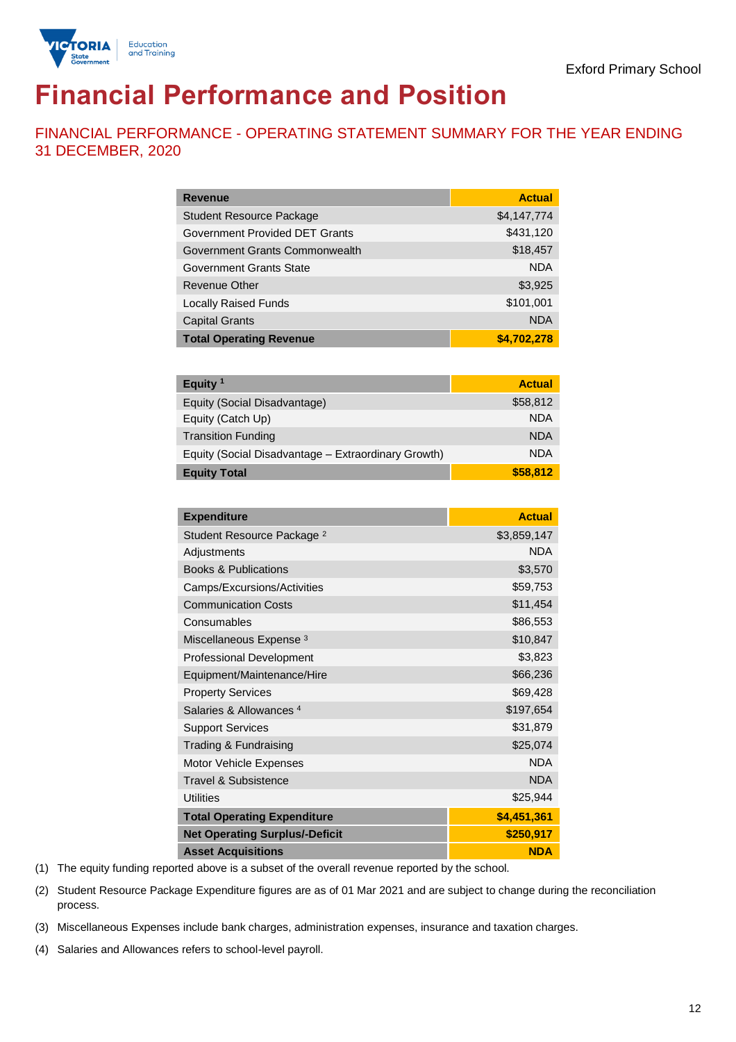

# **Financial Performance and Position**

FINANCIAL PERFORMANCE - OPERATING STATEMENT SUMMARY FOR THE YEAR ENDING 31 DECEMBER, 2020

| <b>Revenue</b>                  | <b>Actual</b> |
|---------------------------------|---------------|
| <b>Student Resource Package</b> | \$4,147,774   |
| Government Provided DET Grants  | \$431,120     |
| Government Grants Commonwealth  | \$18,457      |
| Government Grants State         | <b>NDA</b>    |
| Revenue Other                   | \$3,925       |
| <b>Locally Raised Funds</b>     | \$101,001     |
| <b>Capital Grants</b>           | <b>NDA</b>    |
| <b>Total Operating Revenue</b>  | \$4,702,278   |

| Equity <sup>1</sup>                                 | <b>Actual</b> |
|-----------------------------------------------------|---------------|
| Equity (Social Disadvantage)                        | \$58,812      |
| Equity (Catch Up)                                   | <b>NDA</b>    |
| <b>Transition Funding</b>                           | <b>NDA</b>    |
| Equity (Social Disadvantage - Extraordinary Growth) | <b>NDA</b>    |
| <b>Equity Total</b>                                 | \$58,812      |

| <b>Expenditure</b>                    | <b>Actual</b> |
|---------------------------------------|---------------|
| Student Resource Package <sup>2</sup> | \$3,859,147   |
| Adjustments                           | <b>NDA</b>    |
| <b>Books &amp; Publications</b>       | \$3,570       |
| Camps/Excursions/Activities           | \$59,753      |
| <b>Communication Costs</b>            | \$11,454      |
| Consumables                           | \$86,553      |
| Miscellaneous Expense <sup>3</sup>    | \$10,847      |
| <b>Professional Development</b>       | \$3,823       |
| Equipment/Maintenance/Hire            | \$66,236      |
| <b>Property Services</b>              | \$69,428      |
| Salaries & Allowances 4               | \$197,654     |
| <b>Support Services</b>               | \$31,879      |
| Trading & Fundraising                 | \$25,074      |
| Motor Vehicle Expenses                | <b>NDA</b>    |
| <b>Travel &amp; Subsistence</b>       | <b>NDA</b>    |
| <b>Utilities</b>                      | \$25,944      |
| <b>Total Operating Expenditure</b>    | \$4,451,361   |
| <b>Net Operating Surplus/-Deficit</b> | \$250,917     |
| <b>Asset Acquisitions</b>             | <b>NDA</b>    |

(1) The equity funding reported above is a subset of the overall revenue reported by the school.

(2) Student Resource Package Expenditure figures are as of 01 Mar 2021 and are subject to change during the reconciliation process.

(3) Miscellaneous Expenses include bank charges, administration expenses, insurance and taxation charges.

(4) Salaries and Allowances refers to school-level payroll.